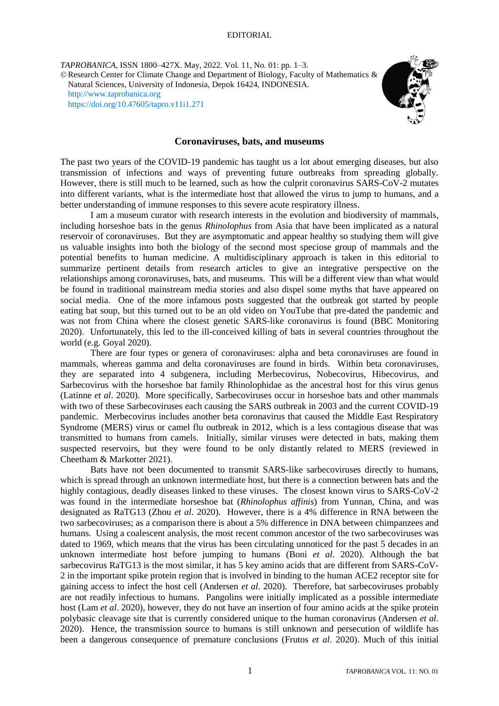## EDITORIAL

*TAPROBANICA*, ISSN 1800–427X. May, 2022. Vol. 11, No. 01: pp. 1–3. ©Research Center for Climate Change and Department of Biology, Faculty of Mathematics & Natural Sciences, University of Indonesia, Depok 16424, INDONESIA. [http://www.taprobanica.org](http://www.taprobanica.org/) <https://doi.org/10.47605/tapro.v11i1.271>



## **Coronaviruses, bats, and museums**

The past two years of the COVID-19 pandemic has taught us a lot about emerging diseases, but also transmission of infections and ways of preventing future outbreaks from spreading globally. However, there is still much to be learned, such as how the culprit coronavirus SARS-CoV-2 mutates into different variants, what is the intermediate host that allowed the virus to jump to humans, and a better understanding of immune responses to this severe acute respiratory illness.

I am a museum curator with research interests in the evolution and biodiversity of mammals, including horseshoe bats in the genus *Rhinolophus* from Asia that have been implicated as a natural reservoir of coronaviruses. But they are asymptomatic and appear healthy so studying them will give us valuable insights into both the biology of the second most speciose group of mammals and the potential benefits to human medicine. A multidisciplinary approach is taken in this editorial to summarize pertinent details from research articles to give an integrative perspective on the relationships among coronaviruses, bats, and museums. This will be a different view than what would be found in traditional mainstream media stories and also dispel some myths that have appeared on social media. One of the more infamous posts suggested that the outbreak got started by people eating bat soup, but this turned out to be an old video on YouTube that pre-dated the pandemic and was not from China where the closest genetic SARS-like coronavirus is found (BBC Monitoring 2020). Unfortunately, this led to the ill-conceived killing of bats in several countries throughout the world (e.g. Goyal 2020).

There are four types or genera of coronaviruses: alpha and beta coronaviruses are found in mammals, whereas gamma and delta coronaviruses are found in birds. Within beta coronaviruses, they are separated into 4 subgenera, including Merbecovirus, Nobecovirus, Hibecovirus, and Sarbecovirus with the horseshoe bat family Rhinolophidae as the ancestral host for this virus genus (Latinne *et al*. 2020). More specifically, Sarbecoviruses occur in horseshoe bats and other mammals with two of these Sarbecoviruses each causing the SARS outbreak in 2003 and the current COVID-19 pandemic. Merbecovirus includes another beta coronavirus that caused the Middle East Respiratory Syndrome (MERS) virus or camel flu outbreak in 2012, which is a less contagious disease that was transmitted to humans from camels. Initially, similar viruses were detected in bats, making them suspected reservoirs, but they were found to be only distantly related to MERS (reviewed in Cheetham & Markotter 2021).

Bats have not been documented to transmit SARS-like sarbecoviruses directly to humans, which is spread through an unknown intermediate host, but there is a connection between bats and the highly contagious, deadly diseases linked to these viruses. The closest known virus to SARS-CoV-2 was found in the intermediate horseshoe bat (*Rhinolophus affinis*) from Yunnan, China, and was designated as RaTG13 (Zhou *et al*. 2020). However, there is a 4% difference in RNA between the two sarbecoviruses; as a comparison there is about a 5% difference in DNA between chimpanzees and humans. Using a coalescent analysis, the most recent common ancestor of the two sarbecoviruses was dated to 1969, which means that the virus has been circulating unnoticed for the past 5 decades in an unknown intermediate host before jumping to humans (Boni *et al*. 2020). Although the bat sarbecovirus RaTG13 is the most similar, it has 5 key amino acids that are different from SARS-CoV-2 in the important spike protein region that is involved in binding to the human ACE2 receptor site for gaining access to infect the host cell (Andersen *et al*. 2020). Therefore, bat sarbecoviruses probably are not readily infectious to humans. Pangolins were initially implicated as a possible intermediate host (Lam *et al.* 2020), however, they do not have an insertion of four amino acids at the spike protein polybasic cleavage site that is currently considered unique to the human coronavirus (Andersen *et al*. 2020). Hence, the transmission source to humans is still unknown and persecution of wildlife has been a dangerous consequence of premature conclusions (Frutos *et al*. 2020). Much of this initial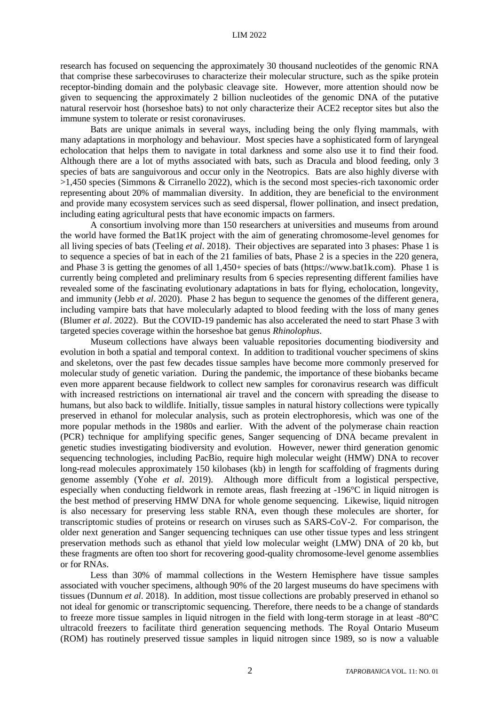research has focused on sequencing the approximately 30 thousand nucleotides of the genomic RNA that comprise these sarbecoviruses to characterize their molecular structure, such as the spike protein receptor-binding domain and the polybasic cleavage site. However, more attention should now be given to sequencing the approximately 2 billion nucleotides of the genomic DNA of the putative natural reservoir host (horseshoe bats) to not only characterize their ACE2 receptor sites but also the immune system to tolerate or resist coronaviruses.

Bats are unique animals in several ways, including being the only flying mammals, with many adaptations in morphology and behaviour. Most species have a sophisticated form of laryngeal echolocation that helps them to navigate in total darkness and some also use it to find their food. Although there are a lot of myths associated with bats, such as Dracula and blood feeding, only 3 species of bats are sanguivorous and occur only in the Neotropics. Bats are also highly diverse with >1,450 species (Simmons & Cirranello 2022), which is the second most species-rich taxonomic order representing about 20% of mammalian diversity. In addition, they are beneficial to the environment and provide many ecosystem services such as seed dispersal, flower pollination, and insect predation, including eating agricultural pests that have economic impacts on farmers.

A consortium involving more than 150 researchers at universities and museums from around the world have formed the Bat1K project with the aim of generating chromosome-level genomes for all living species of bats (Teeling *et al*. 2018). Their objectives are separated into 3 phases: Phase 1 is to sequence a species of bat in each of the 21 families of bats, Phase 2 is a species in the 220 genera, and Phase 3 is getting the genomes of all 1,450+ species of bats (https://www.bat1k.com). Phase 1 is currently being completed and preliminary results from 6 species representing different families have revealed some of the fascinating evolutionary adaptations in bats for flying, echolocation, longevity, and immunity (Jebb *et al*. 2020). Phase 2 has begun to sequence the genomes of the different genera, including vampire bats that have molecularly adapted to blood feeding with the loss of many genes (Blumer *et al*. 2022). But the COVID-19 pandemic has also accelerated the need to start Phase 3 with targeted species coverage within the horseshoe bat genus *Rhinolophus*.

Museum collections have always been valuable repositories documenting biodiversity and evolution in both a spatial and temporal context. In addition to traditional voucher specimens of skins and skeletons, over the past few decades tissue samples have become more commonly preserved for molecular study of genetic variation. During the pandemic, the importance of these biobanks became even more apparent because fieldwork to collect new samples for coronavirus research was difficult with increased restrictions on international air travel and the concern with spreading the disease to humans, but also back to wildlife. Initially, tissue samples in natural history collections were typically preserved in ethanol for molecular analysis, such as protein electrophoresis, which was one of the more popular methods in the 1980s and earlier. With the advent of the polymerase chain reaction (PCR) technique for amplifying specific genes, Sanger sequencing of DNA became prevalent in genetic studies investigating biodiversity and evolution. However, newer third generation genomic sequencing technologies, including PacBio, require high molecular weight (HMW) DNA to recover long-read molecules approximately 150 kilobases (kb) in length for scaffolding of fragments during genome assembly (Yohe *et al*. 2019). Although more difficult from a logistical perspective, especially when conducting fieldwork in remote areas, flash freezing at -196°C in liquid nitrogen is the best method of preserving HMW DNA for whole genome sequencing. Likewise, liquid nitrogen is also necessary for preserving less stable RNA, even though these molecules are shorter, for transcriptomic studies of proteins or research on viruses such as SARS-CoV-2. For comparison, the older next generation and Sanger sequencing techniques can use other tissue types and less stringent preservation methods such as ethanol that yield low molecular weight (LMW) DNA of 20 kb, but these fragments are often too short for recovering good-quality chromosome-level genome assemblies or for RNAs.

Less than 30% of mammal collections in the Western Hemisphere have tissue samples associated with voucher specimens, although 90% of the 20 largest museums do have specimens with tissues (Dunnum *et al*. 2018). In addition, most tissue collections are probably preserved in ethanol so not ideal for genomic or transcriptomic sequencing. Therefore, there needs to be a change of standards to freeze more tissue samples in liquid nitrogen in the field with long-term storage in at least -80°C ultracold freezers to facilitate third generation sequencing methods. The Royal Ontario Museum (ROM) has routinely preserved tissue samples in liquid nitrogen since 1989, so is now a valuable